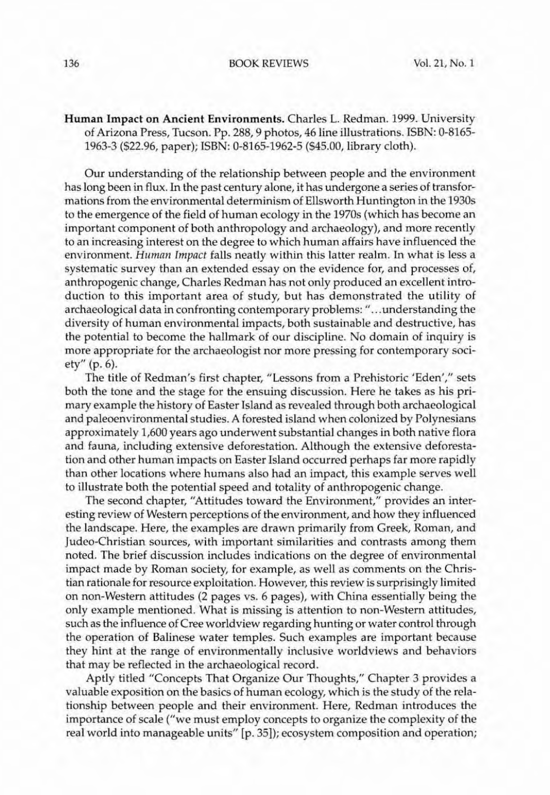## 136 BOOK REVrEWS VoL 21, No. I

Human Impact on Ancient Environments. Charles L. Redman. 1999. University of Arizona Press, Tucson. Pp. 288, 9 photos, 46 line illustrations. ISBN: 0-8165- 1963-3 (522.96, paper); ISBN: 0-8165+1962·5 (545.00, library cloth).

Our understanding of the relationship between people and the environment has long been in flux. In the past century alone, it has undergone a series of transformations from the environmental determinism of Ellsworth Huntington in the 19305 to the emergence of the field of human ecology in the 1970s (which has become an important component of both anthropology and archaeology), and more recently to an increasing interest on the degree to which human affairs have influenced the environment. Human Impact falls neatly within this latter realm. In what is less a systematic survey than an extended essay on the evidence for, and processes of, anthropogenic change, Charles Redman has not only produced an excellent introduction to this important area of study, but has demonstrated the utility of archaeological data in confronting contemporary problems: " ... understanding the diversity of human environmental impacts, both sustainable and destructive, has the potential to become the hallmark of our discipline. No domain of inquiry is more appropriate for the archaeologist nor more pressing for contemporary society" (p. 6).

The title of Redman's first chapter, "Lessons from a Prehistoric 'Eden'," sets both the tone and the stage for the ensuing discussion. Here he takes as his primary example the history of Easter Island as revealed through both archaeological and paleoenvironmental studies. A forested island when colonized by Polynesians approximately 1,600 years ago underwent substantial changes in both native flora and fauna, including extensive deforestation. Although the extensive deforesta· tion and other human impacts on Easter Island occurred perhaps far more rapidly than other locations where humans also had an impact, this example serves well to illustrate both the potential speed and totality of anthropogenic change.

The second chapter, "Attitudes toward the Environment," provides an interesting review of Westem perceptions of the environment, and how they influenced the landscape. Herc, the examples are drawn primarily from Greek, Roman, and Judea-Christian sources, with important similarities and contrasts among them noted. The brief discussion includes indications on the degree of environmental impact made by Roman society, for cxample, as well as comments on the Christian rationale for resource exploitation. However, this review is surprisingly limited on non-Western attitudes (2 pages vs. 6 pages), with China essentially being the only example mentioned. What is missing is attention to non-Western attitudes, such as the influence of Cree worldview regarding hunting or water control through the operation of Balinese water temples. Such examples are important because they hint at the range of environmentally inclusive worldviews and behaviors that may be reflected in the archaeological record.

Aptly titled "Concepts That Organize Our Thoughts," Chapter 3 provides a valuable exposition on the basics of human ecology, which is the study of the relationship between people and their environment. Here, Redman introduces the importance of scale ("we must employ concepts to organize the complexity of the real world into manageable units" [p. 351); ecosystem composition and operation;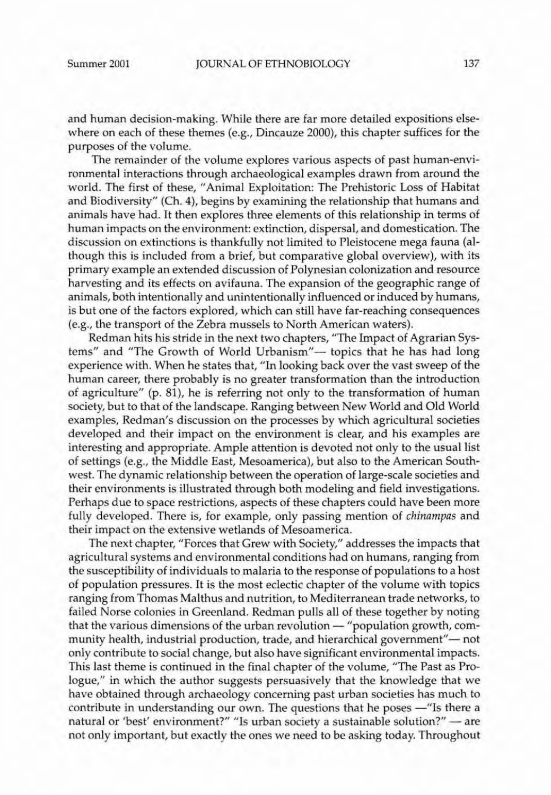and human decision-making. While there are far more detailed expositions elsewhere on each of these themes (e.g., Dincauze 2000), this chapter suffices for the purposes of the volume.

The remainder of the volume explores various aspects of past human-environmental interactions through archaeological examples drawn from around the world. The first of these, "Animal Exploitation: The Prehistoric Loss of Habitat and Biodiversity" (Ch. 4), begins by examining the relationship that humans and animals have had. It then explores three elements of this relationship in terms of human impacts on the environment: extinction, dispersal, and domestication. The discussion on extinctions is thankfully not limited to Pleistocene mega fauna (although this is included from a brief, but comparative global overview), with its primary example an extended discussion of Polynesian colonization and resource harvesting and its effects on avifauna. The expansion of the geographic range of animals, both intentionally and unintentionally influenced or induced by humans, is but one of the factors explored, which can still have far-reaching consequences (e.g., the transport of the Zebra mussels to North American waters).

Redman hits his stride in the next two chapters, "The Impact of Agrarian Systems" and "The Growth of World Urbanism"- topics that he has had long experience with. When he states that, "In looking back over the vast sweep of the human career, there probably is no greater transformation than the introduction of agriculture" (p. 81), he is referring not only to the transformation of human society, but to that of the landscape. Ranging between New World and Old World examples, Redman's discussion on the processes by which agricultural societies developed and their impact on the environment is clear, and his examples are interesting and appropriate. Ample attention is devoted not only to the usual list of settings (e.g., the Middle East, Mesoamerica), but also to the American Southwest. The dynamic relationship between the operation of large-scale societies and their environments is illustrated through both modeling and field investigations. Perhaps due to space restrictions, aspects of these chapters could have been more fully developed. There is, for example, only passing mention of *chinampas* and their impact on the extensive wetlands of Mesoamerica.

The next chapter, "Forces that Grew with Society," addresses the impacts that agricultural systems and environmental conditions had on humans, ranging from the susceptibility of individuals to malaria to the response of populations to a host of population pressures. <sup>11</sup> is the most eclectic chapter of the volume with topics ranging from Thomas Malthus and nutrition, to Mediterranean trade networks, to failed Norse colonies in Greenland. Redman pulls all of these together by noting that the various dimensions of the urban revolution - "population growth, community health, industrial production, trade, and hierarchical government"- not only contribute to social change, but also have significant environmental impacts. This last theme is continued in the final chapter of the volume, "The Past as Prologue," in which the author suggests persuasively that the knowledge that we have obtained through archaeology concerning past urban societies has much to contribute in understanding our own. The questions that he poses - "Is there a natural or 'best' environment?" "Is urban society a sustainable solution?" - are not only important, but exactly the ones we need to be asking today. Throughout